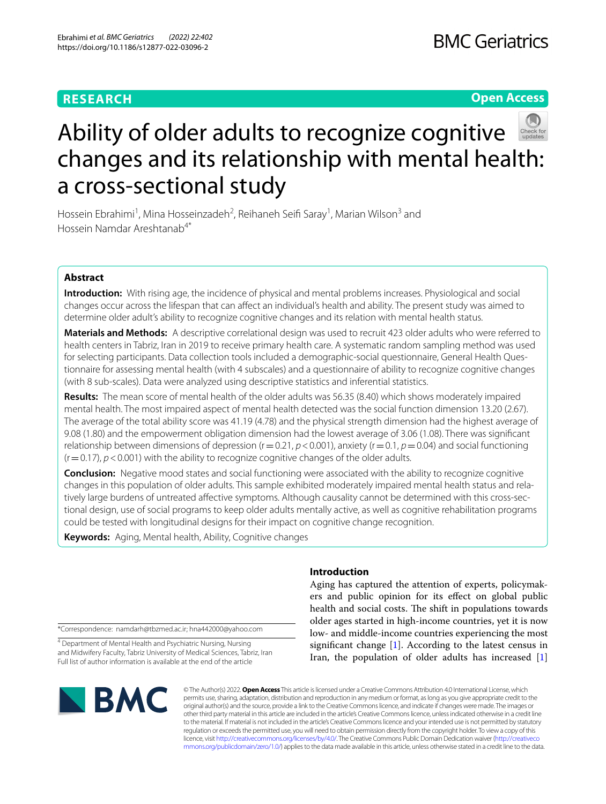# **RESEARCH**

**Open Access**



Hossein Ebrahimi<sup>1</sup>, Mina Hosseinzadeh<sup>2</sup>, Reihaneh Seifi Saray<sup>1</sup>, Marian Wilson<sup>3</sup> and Hossein Namdar Areshtanab<sup>4\*</sup>

# **Abstract**

**Introduction:** With rising age, the incidence of physical and mental problems increases. Physiological and social changes occur across the lifespan that can afect an individual's health and ability. The present study was aimed to determine older adult's ability to recognize cognitive changes and its relation with mental health status.

**Materials and Methods:** A descriptive correlational design was used to recruit 423 older adults who were referred to health centers in Tabriz, Iran in 2019 to receive primary health care. A systematic random sampling method was used for selecting participants. Data collection tools included a demographic-social questionnaire, General Health Questionnaire for assessing mental health (with 4 subscales) and a questionnaire of ability to recognize cognitive changes (with 8 sub-scales). Data were analyzed using descriptive statistics and inferential statistics.

**Results:** The mean score of mental health of the older adults was 56.35 (8.40) which shows moderately impaired mental health. The most impaired aspect of mental health detected was the social function dimension 13.20 (2.67). The average of the total ability score was 41.19 (4.78) and the physical strength dimension had the highest average of 9.08 (1.80) and the empowerment obligation dimension had the lowest average of 3.06 (1.08). There was signifcant relationship between dimensions of depression (r=0.21, *p*<0.001), anxiety (r=0.1, *p*=0.04) and social functioning (r=0.17), *p*<0.001) with the ability to recognize cognitive changes of the older adults.

**Conclusion:** Negative mood states and social functioning were associated with the ability to recognize cognitive changes in this population of older adults. This sample exhibited moderately impaired mental health status and relatively large burdens of untreated afective symptoms. Although causality cannot be determined with this cross-sectional design, use of social programs to keep older adults mentally active, as well as cognitive rehabilitation programs could be tested with longitudinal designs for their impact on cognitive change recognition.

**Keywords:** Aging, Mental health, Ability, Cognitive changes

\*Correspondence: namdarh@tbzmed.ac.ir; hna442000@yahoo.com

<sup>4</sup> Department of Mental Health and Psychiatric Nursing, Nursing and Midwifery Faculty, Tabriz University of Medical Sciences, Tabriz, Iran Full list of author information is available at the end of the article

# **BMC**

**Introduction**

Aging has captured the attention of experts, policymakers and public opinion for its efect on global public health and social costs. The shift in populations towards older ages started in high-income countries, yet it is now low- and middle-income countries experiencing the most significant change  $[1]$  $[1]$ . According to the latest census in Iran, the population of older adults has increased [\[1](#page-6-0)]

© The Author(s) 2022. **Open Access** This article is licensed under a Creative Commons Attribution 4.0 International License, which permits use, sharing, adaptation, distribution and reproduction in any medium or format, as long as you give appropriate credit to the original author(s) and the source, provide a link to the Creative Commons licence, and indicate if changes were made. The images or other third party material in this article are included in the article's Creative Commons licence, unless indicated otherwise in a credit line to the material. If material is not included in the article's Creative Commons licence and your intended use is not permitted by statutory regulation or exceeds the permitted use, you will need to obtain permission directly from the copyright holder. To view a copy of this licence, visit [http://creativecommons.org/licenses/by/4.0/.](http://creativecommons.org/licenses/by/4.0/) The Creative Commons Public Domain Dedication waiver ([http://creativeco](http://creativecommons.org/publicdomain/zero/1.0/) [mmons.org/publicdomain/zero/1.0/](http://creativecommons.org/publicdomain/zero/1.0/)) applies to the data made available in this article, unless otherwise stated in a credit line to the data.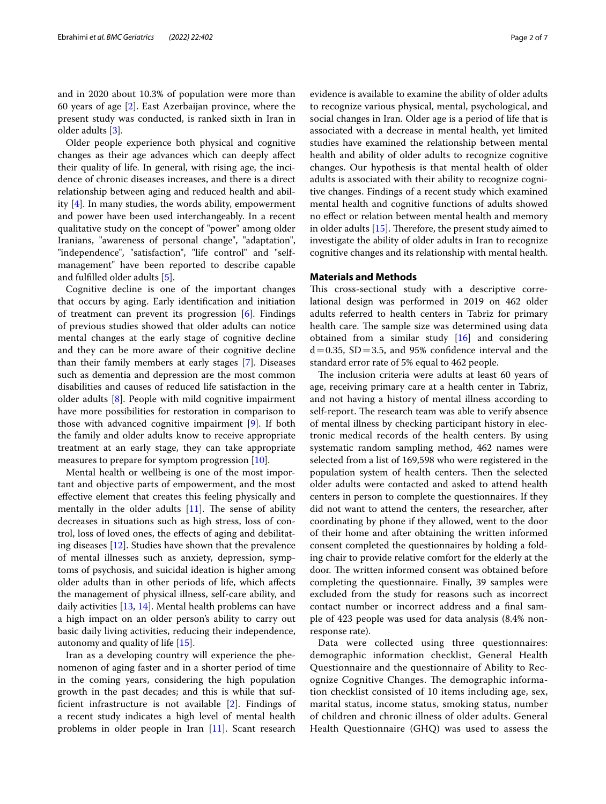and in 2020 about 10.3% of population were more than 60 years of age [[2\]](#page-6-1). East Azerbaijan province, where the present study was conducted, is ranked sixth in Iran in older adults [\[3](#page-6-2)].

Older people experience both physical and cognitive changes as their age advances which can deeply afect their quality of life. In general, with rising age, the incidence of chronic diseases increases, and there is a direct relationship between aging and reduced health and ability [\[4](#page-6-3)]. In many studies, the words ability, empowerment and power have been used interchangeably. In a recent qualitative study on the concept of "power" among older Iranians, "awareness of personal change", "adaptation", "independence", "satisfaction", "life control" and "selfmanagement" have been reported to describe capable and fulflled older adults [[5\]](#page-6-4).

Cognitive decline is one of the important changes that occurs by aging. Early identifcation and initiation of treatment can prevent its progression [\[6](#page-6-5)]. Findings of previous studies showed that older adults can notice mental changes at the early stage of cognitive decline and they can be more aware of their cognitive decline than their family members at early stages [\[7](#page-6-6)]. Diseases such as dementia and depression are the most common disabilities and causes of reduced life satisfaction in the older adults [[8\]](#page-6-7). People with mild cognitive impairment have more possibilities for restoration in comparison to those with advanced cognitive impairment [\[9](#page-6-8)]. If both the family and older adults know to receive appropriate treatment at an early stage, they can take appropriate measures to prepare for symptom progression [\[10](#page-6-9)].

Mental health or wellbeing is one of the most important and objective parts of empowerment, and the most efective element that creates this feeling physically and mentally in the older adults  $[11]$  $[11]$ . The sense of ability decreases in situations such as high stress, loss of control, loss of loved ones, the efects of aging and debilitating diseases [\[12\]](#page-6-11). Studies have shown that the prevalence of mental illnesses such as anxiety, depression, symptoms of psychosis, and suicidal ideation is higher among older adults than in other periods of life, which afects the management of physical illness, self-care ability, and daily activities [[13,](#page-6-12) [14\]](#page-6-13). Mental health problems can have a high impact on an older person's ability to carry out basic daily living activities, reducing their independence, autonomy and quality of life [\[15](#page-6-14)].

Iran as a developing country will experience the phenomenon of aging faster and in a shorter period of time in the coming years, considering the high population growth in the past decades; and this is while that suffcient infrastructure is not available [[2\]](#page-6-1). Findings of a recent study indicates a high level of mental health problems in older people in Iran [\[11](#page-6-10)]. Scant research evidence is available to examine the ability of older adults to recognize various physical, mental, psychological, and social changes in Iran. Older age is a period of life that is associated with a decrease in mental health, yet limited studies have examined the relationship between mental health and ability of older adults to recognize cognitive changes. Our hypothesis is that mental health of older adults is associated with their ability to recognize cognitive changes. Findings of a recent study which examined mental health and cognitive functions of adults showed no efect or relation between mental health and memory in older adults  $[15]$  $[15]$ . Therefore, the present study aimed to investigate the ability of older adults in Iran to recognize cognitive changes and its relationship with mental health.

# **Materials and Methods**

This cross-sectional study with a descriptive correlational design was performed in 2019 on 462 older adults referred to health centers in Tabriz for primary health care. The sample size was determined using data obtained from a similar study [\[16\]](#page-6-15) and considering  $d=0.35$ , SD $=3.5$ , and 95% confidence interval and the standard error rate of 5% equal to 462 people.

The inclusion criteria were adults at least 60 years of age, receiving primary care at a health center in Tabriz, and not having a history of mental illness according to self-report. The research team was able to verify absence of mental illness by checking participant history in electronic medical records of the health centers. By using systematic random sampling method, 462 names were selected from a list of 169,598 who were registered in the population system of health centers. Then the selected older adults were contacted and asked to attend health centers in person to complete the questionnaires. If they did not want to attend the centers, the researcher, after coordinating by phone if they allowed, went to the door of their home and after obtaining the written informed consent completed the questionnaires by holding a folding chair to provide relative comfort for the elderly at the door. The written informed consent was obtained before completing the questionnaire. Finally, 39 samples were excluded from the study for reasons such as incorrect contact number or incorrect address and a fnal sample of 423 people was used for data analysis (8.4% nonresponse rate).

Data were collected using three questionnaires: demographic information checklist, General Health Questionnaire and the questionnaire of Ability to Recognize Cognitive Changes. The demographic information checklist consisted of 10 items including age, sex, marital status, income status, smoking status, number of children and chronic illness of older adults. General Health Questionnaire (GHQ) was used to assess the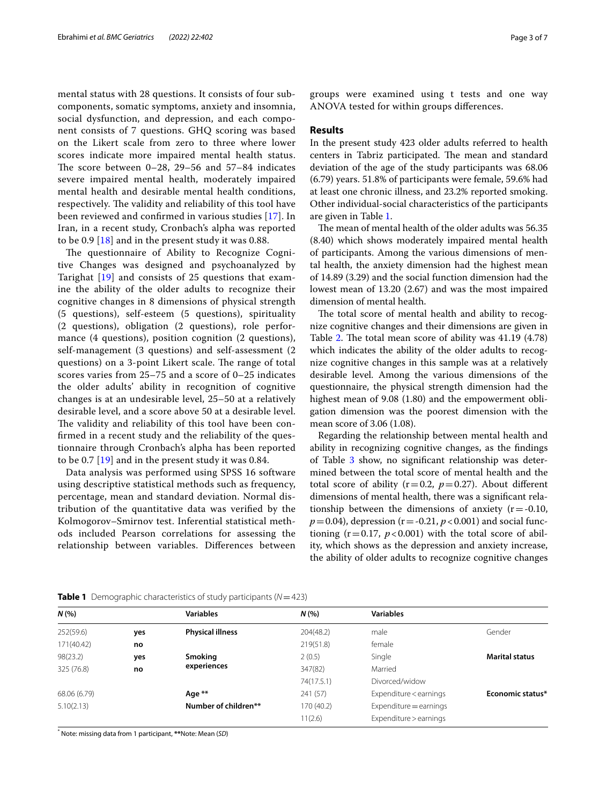mental status with 28 questions. It consists of four subcomponents, somatic symptoms, anxiety and insomnia, social dysfunction, and depression, and each component consists of 7 questions. GHQ scoring was based on the Likert scale from zero to three where lower scores indicate more impaired mental health status. The score between  $0-28$ , 29-56 and 57-84 indicates severe impaired mental health, moderately impaired mental health and desirable mental health conditions, respectively. The validity and reliability of this tool have been reviewed and confrmed in various studies [\[17\]](#page-6-16). In Iran, in a recent study, Cronbach's alpha was reported to be 0.9 [\[18\]](#page-6-17) and in the present study it was 0.88.

The questionnaire of Ability to Recognize Cognitive Changes was designed and psychoanalyzed by Tarighat [\[19](#page-6-18)] and consists of 25 questions that examine the ability of the older adults to recognize their cognitive changes in 8 dimensions of physical strength (5 questions), self-esteem (5 questions), spirituality (2 questions), obligation (2 questions), role performance (4 questions), position cognition (2 questions), self-management (3 questions) and self-assessment (2 questions) on a 3-point Likert scale. The range of total scores varies from 25–75 and a score of 0–25 indicates the older adults' ability in recognition of cognitive changes is at an undesirable level, 25–50 at a relatively desirable level, and a score above 50 at a desirable level. The validity and reliability of this tool have been confrmed in a recent study and the reliability of the questionnaire through Cronbach's alpha has been reported to be 0.7 [\[19\]](#page-6-18) and in the present study it was 0.84.

Data analysis was performed using SPSS 16 software using descriptive statistical methods such as frequency, percentage, mean and standard deviation. Normal distribution of the quantitative data was verifed by the Kolmogorov–Smirnov test. Inferential statistical methods included Pearson correlations for assessing the relationship between variables. Diferences between groups were examined using t tests and one way ANOVA tested for within groups diferences.

# **Results**

In the present study 423 older adults referred to health centers in Tabriz participated. The mean and standard deviation of the age of the study participants was 68.06 (6.79) years. 51.8% of participants were female, 59.6% had at least one chronic illness, and 23.2% reported smoking. Other individual-social characteristics of the participants are given in Table [1.](#page-2-0)

The mean of mental health of the older adults was 56.35 (8.40) which shows moderately impaired mental health of participants. Among the various dimensions of mental health, the anxiety dimension had the highest mean of 14.89 (3.29) and the social function dimension had the lowest mean of 13.20 (2.67) and was the most impaired dimension of mental health.

The total score of mental health and ability to recognize cognitive changes and their dimensions are given in Table [2](#page-3-0). The total mean score of ability was  $41.19$   $(4.78)$ which indicates the ability of the older adults to recognize cognitive changes in this sample was at a relatively desirable level. Among the various dimensions of the questionnaire, the physical strength dimension had the highest mean of 9.08 (1.80) and the empowerment obligation dimension was the poorest dimension with the mean score of 3.06 (1.08).

Regarding the relationship between mental health and ability in recognizing cognitive changes, as the fndings of Table [3](#page-3-1) show, no signifcant relationship was determined between the total score of mental health and the total score of ability  $(r=0.2, p=0.27)$ . About different dimensions of mental health, there was a signifcant relationship between the dimensions of anxiety  $(r = -0.10,$  $p = 0.04$ ), depression (r = -0.21,  $p < 0.001$ ) and social functioning  $(r=0.17, p<0.001)$  with the total score of ability, which shows as the depression and anxiety increase, the ability of older adults to recognize cognitive changes

| N(%          |     | <b>Variables</b>        | N(%        | <b>Variables</b>       |                       |  |
|--------------|-----|-------------------------|------------|------------------------|-----------------------|--|
| 252(59.6)    | yes | <b>Physical illness</b> | 204(48.2)  | male                   | Gender                |  |
| 171(40.42)   | no  |                         | 219(51.8)  | female                 |                       |  |
| 98(23.2)     | yes | Smoking                 | 2(0.5)     | Single                 | <b>Marital status</b> |  |
| 325 (76.8)   | no  | experiences             | 347(82)    | Married                |                       |  |
|              |     |                         | 74(17.5.1) | Divorced/widow         |                       |  |
| 68.06 (6.79) |     | Age **                  | 241 (57)   | Expenditure < earnings | Economic status*      |  |
| 5.10(2.13)   |     | Number of children**    | 170 (40.2) | Expenditure = earnings |                       |  |
|              |     |                         | 11(2.6)    | Expenditure > earnings |                       |  |
|              |     |                         |            |                        |                       |  |

<span id="page-2-0"></span>**Table 1** Demographic characteristics of study participants (*N*=423)

\* Note: missing data from 1 participant, **\*\***Note: Mean (*SD*)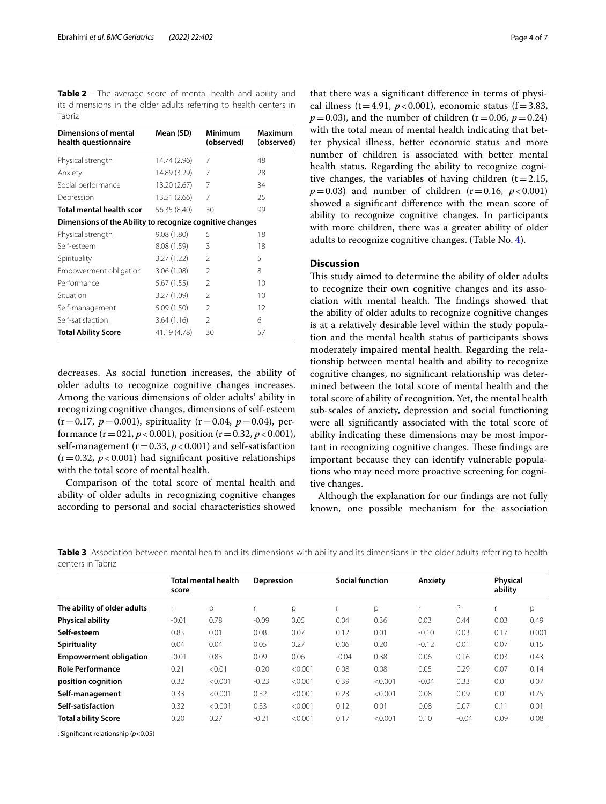<span id="page-3-0"></span>**Table 2** - The average score of mental health and ability and its dimensions in the older adults referring to health centers in Tabriz

| <b>Dimensions of mental</b><br>health questionnaire      | Mean (SD)    | Minimum<br>(observed) | Maximum<br>(observed) |
|----------------------------------------------------------|--------------|-----------------------|-----------------------|
| Physical strength                                        | 14.74 (2.96) | 7                     | 48                    |
| Anxiety                                                  | 14.89 (3.29) | 7                     | 28                    |
| Social performance                                       | 13.20 (2.67) | 7                     | 34                    |
| Depression                                               | 13.51 (2.66) | 7                     | 25                    |
| Total mental health scor                                 | 56.35 (8.40) | 30                    | 99                    |
| Dimensions of the Ability to recognize cognitive changes |              |                       |                       |
| Physical strength                                        | 9.08 (1.80)  | 5                     | 18                    |
| Self-esteem                                              | 8.08 (1.59)  | 3                     | 18                    |
| Spirituality                                             | 3.27(1.22)   | $\mathfrak{D}$        | 5                     |
| Empowerment obligation                                   | 3.06(1.08)   | $\mathcal{P}$         | 8                     |
| Performance                                              | 5.67 (1.55)  | $\mathfrak{D}$        | 10                    |
| Situation                                                | 3.27 (1.09)  | $\mathfrak{D}$        | 10                    |
| Self-management                                          | 5.09(1.50)   | $\mathfrak{D}$        | 12                    |
| Self-satisfaction                                        | 3.64(1.16)   | $\mathfrak{D}$        | 6                     |
| <b>Total Ability Score</b>                               | 41.19 (4.78) | 30                    | 57                    |

decreases. As social function increases, the ability of older adults to recognize cognitive changes increases. Among the various dimensions of older adults' ability in recognizing cognitive changes, dimensions of self-esteem  $(r=0.17, p=0.001)$ , spirituality  $(r=0.04, p=0.04)$ , performance  $(r=021, p<0.001)$ , position  $(r=0.32, p<0.001)$ , self-management ( $r=0.33$ ,  $p<0.001$ ) and self-satisfaction  $(r=0.32, p<0.001)$  had significant positive relationships with the total score of mental health.

Comparison of the total score of mental health and ability of older adults in recognizing cognitive changes according to personal and social characteristics showed that there was a signifcant diference in terms of physical illness (t=4.91,  $p < 0.001$ ), economic status (f=3.83,  $p = 0.03$ ), and the number of children ( $r = 0.06$ ,  $p = 0.24$ ) with the total mean of mental health indicating that better physical illness, better economic status and more number of children is associated with better mental health status. Regarding the ability to recognize cognitive changes, the variables of having children  $(t=2.15,$  $p = 0.03$ ) and number of children (r=0.16,  $p < 0.001$ ) showed a signifcant diference with the mean score of ability to recognize cognitive changes. In participants with more children, there was a greater ability of older adults to recognize cognitive changes. (Table No. [4\)](#page-4-0).

# **Discussion**

This study aimed to determine the ability of older adults to recognize their own cognitive changes and its association with mental health. The findings showed that the ability of older adults to recognize cognitive changes is at a relatively desirable level within the study population and the mental health status of participants shows moderately impaired mental health. Regarding the relationship between mental health and ability to recognize cognitive changes, no signifcant relationship was determined between the total score of mental health and the total score of ability of recognition. Yet, the mental health sub-scales of anxiety, depression and social functioning were all signifcantly associated with the total score of ability indicating these dimensions may be most important in recognizing cognitive changes. These findings are important because they can identify vulnerable populations who may need more proactive screening for cognitive changes.

Although the explanation for our fndings are not fully known, one possible mechanism for the association

<span id="page-3-1"></span>**Table 3** Association between mental health and its dimensions with ability and its dimensions in the older adults referring to health centers in Tabriz

|                               | <b>Total mental health</b><br>score |         | Depression |         | <b>Social function</b> |         | Anxiety |         | Physical<br>ability |       |
|-------------------------------|-------------------------------------|---------|------------|---------|------------------------|---------|---------|---------|---------------------|-------|
| The ability of older adults   |                                     | p       |            | р       |                        | p       |         | P       |                     | p     |
| <b>Physical ability</b>       | $-0.01$                             | 0.78    | $-0.09$    | 0.05    | 0.04                   | 0.36    | 0.03    | 0.44    | 0.03                | 0.49  |
| Self-esteem                   | 0.83                                | 0.01    | 0.08       | 0.07    | 0.12                   | 0.01    | $-0.10$ | 0.03    | 0.17                | 0.001 |
| <b>Spirituality</b>           | 0.04                                | 0.04    | 0.05       | 0.27    | 0.06                   | 0.20    | $-0.12$ | 0.01    | 0.07                | 0.15  |
| <b>Empowerment obligation</b> | $-0.01$                             | 0.83    | 0.09       | 0.06    | $-0.04$                | 0.38    | 0.06    | 0.16    | 0.03                | 0.43  |
| <b>Role Performance</b>       | 0.21                                | < 0.01  | $-0.20$    | < 0.001 | 0.08                   | 0.08    | 0.05    | 0.29    | 0.07                | 0.14  |
| position cognition            | 0.32                                | < 0.001 | $-0.23$    | < 0.001 | 0.39                   | < 0.001 | $-0.04$ | 0.33    | 0.01                | 0.07  |
| Self-management               | 0.33                                | < 0.001 | 0.32       | < 0.001 | 0.23                   | < 0.001 | 0.08    | 0.09    | 0.01                | 0.75  |
| Self-satisfaction             | 0.32                                | < 0.001 | 0.33       | < 0.001 | 0.12                   | 0.01    | 0.08    | 0.07    | 0.11                | 0.01  |
| <b>Total ability Score</b>    | 0.20                                | 0.27    | $-0.21$    | < 0.001 | 0.17                   | < 0.001 | 0.10    | $-0.04$ | 0.09                | 0.08  |
|                               |                                     |         |            |         |                        |         |         |         |                     |       |

: Signifcant relationship (*p*<0.05)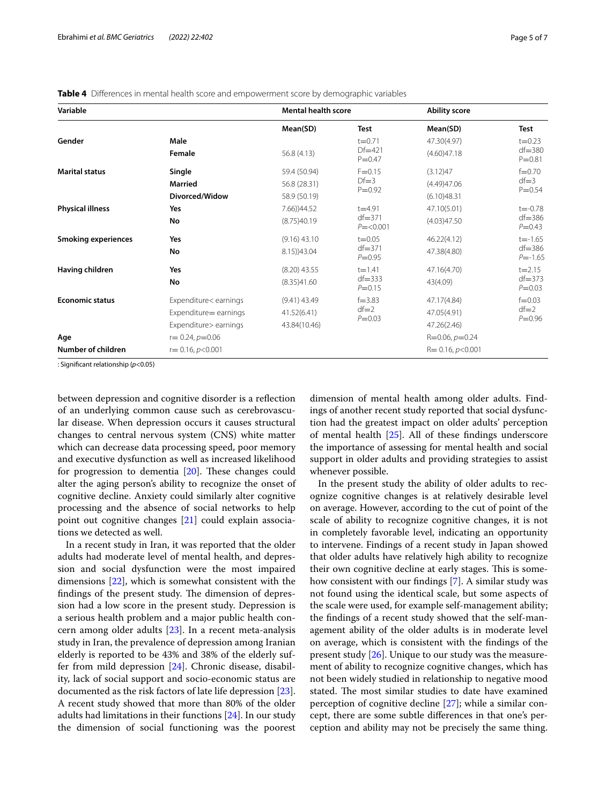<span id="page-4-0"></span>

|  |  |  |  |  | Table 4 Differences in mental health score and empowerment score by demographic variables |  |  |  |  |
|--|--|--|--|--|-------------------------------------------------------------------------------------------|--|--|--|--|
|--|--|--|--|--|-------------------------------------------------------------------------------------------|--|--|--|--|

| Variable                   |                        | <b>Mental health score</b> |                                      | <b>Ability score</b>  |                                          |  |
|----------------------------|------------------------|----------------------------|--------------------------------------|-----------------------|------------------------------------------|--|
|                            |                        | Mean(SD)                   | <b>Test</b>                          | Mean(SD)              | <b>Test</b>                              |  |
| Gender                     | Male                   |                            | $t = 0.71$<br>$Df=421$<br>$P = 0.47$ | 47.30(4.97)           | $t = 0.23$<br>$df = 380$<br>$P = 0.81$   |  |
|                            | Female                 | 56.8 (4.13)                |                                      | (4.60)47.18           |                                          |  |
| <b>Marital status</b>      | Single                 | 59.4 (50.94)               | $F = 0.15$                           | (3.12)47              | $f = 0.70$<br>$df = 3$<br>$P = 0.54$     |  |
|                            | Married                | 56.8 (28.31)               | $Df=3$<br>$P = 0.92$                 | (4.49)47.06           |                                          |  |
|                            | Divorced/Widow         | 58.9 (50.19)               |                                      | (6.10)48.31           |                                          |  |
| <b>Physical illness</b>    | Yes                    | 7.66))44.52                | $t = 4.91$                           | 47.10(5.01)           | $t = -0.78$<br>$df = 386$<br>$P = 0.43$  |  |
|                            | No                     | (8.75)40.19                | $df = 371$<br>$P = < 0.001$          | (4.03)47.50           |                                          |  |
| <b>Smoking experiences</b> | Yes                    | $(9.16)$ 43.10             | $t = 0.05$                           | 46.22(4.12)           | $t = -1.65$<br>$df = 386$<br>$P = -1.65$ |  |
|                            | No                     | 8.15))43.04                | $df = 371$<br>$P = 0.95$             | 47.38(4.80)           |                                          |  |
| Having children            | Yes                    | $(8.20)$ 43.55             | $t = 1.41$                           | 47.16(4.70)           | $t = 2.15$                               |  |
|                            | No                     | (8.35)41.60                | $df = 333$<br>$P = 0.15$             | 43(4.09)              | $df = 373$<br>$P = 0.03$                 |  |
| <b>Economic status</b>     | Expenditure< earnings  | $(9.41)$ 43.49             | $f = 3.83$                           | 47.17(4.84)           | $f = 0.03$<br>$df = 2$<br>$P = 0.96$     |  |
|                            | Expenditure = earnings | 41.52(6.41)                | $df=2$<br>$P = 0.03$                 | 47.05(4.91)           |                                          |  |
|                            | Expenditure> earnings  | 43.84(10.46)               |                                      | 47.26(2.46)           |                                          |  |
| Age                        | $r = 0.24, p = 0.06$   |                            |                                      | $R=0.06, p=0.24$      |                                          |  |
| Number of children         | $r = 0.16, p < 0.001$  |                            |                                      | $R = 0.16, p < 0.001$ |                                          |  |

: Signifcant relationship (*p*<0.05)

between depression and cognitive disorder is a refection of an underlying common cause such as cerebrovascular disease. When depression occurs it causes structural changes to central nervous system (CNS) white matter which can decrease data processing speed, poor memory and executive dysfunction as well as increased likelihood for progression to dementia  $[20]$  $[20]$ . These changes could alter the aging person's ability to recognize the onset of cognitive decline. Anxiety could similarly alter cognitive processing and the absence of social networks to help point out cognitive changes [[21\]](#page-6-20) could explain associations we detected as well.

In a recent study in Iran, it was reported that the older adults had moderate level of mental health, and depression and social dysfunction were the most impaired dimensions [\[22\]](#page-6-21), which is somewhat consistent with the findings of the present study. The dimension of depression had a low score in the present study. Depression is a serious health problem and a major public health concern among older adults [\[23](#page-6-22)]. In a recent meta-analysis study in Iran, the prevalence of depression among Iranian elderly is reported to be 43% and 38% of the elderly suffer from mild depression [[24\]](#page-6-23). Chronic disease, disability, lack of social support and socio-economic status are documented as the risk factors of late life depression [\[23](#page-6-22)]. A recent study showed that more than 80% of the older adults had limitations in their functions [\[24](#page-6-23)]. In our study the dimension of social functioning was the poorest

dimension of mental health among older adults. Findings of another recent study reported that social dysfunction had the greatest impact on older adults' perception of mental health [\[25](#page-6-24)]. All of these fndings underscore the importance of assessing for mental health and social support in older adults and providing strategies to assist whenever possible.

In the present study the ability of older adults to recognize cognitive changes is at relatively desirable level on average. However, according to the cut of point of the scale of ability to recognize cognitive changes, it is not in completely favorable level, indicating an opportunity to intervene. Findings of a recent study in Japan showed that older adults have relatively high ability to recognize their own cognitive decline at early stages. This is somehow consistent with our fndings [\[7](#page-6-6)]. A similar study was not found using the identical scale, but some aspects of the scale were used, for example self-management ability; the fndings of a recent study showed that the self-management ability of the older adults is in moderate level on average, which is consistent with the fndings of the present study [\[26](#page-6-25)]. Unique to our study was the measurement of ability to recognize cognitive changes, which has not been widely studied in relationship to negative mood stated. The most similar studies to date have examined perception of cognitive decline [[27](#page-6-26)]; while a similar concept, there are some subtle diferences in that one's perception and ability may not be precisely the same thing.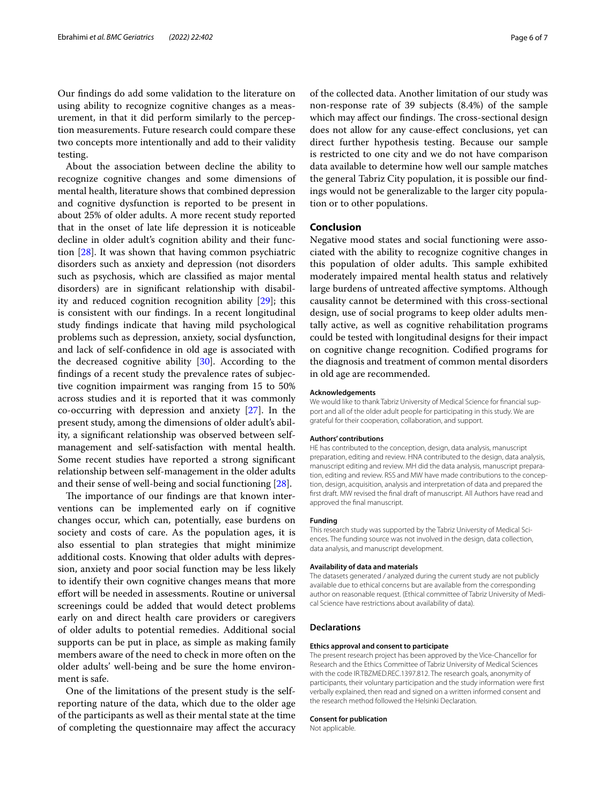Our fndings do add some validation to the literature on using ability to recognize cognitive changes as a measurement, in that it did perform similarly to the perception measurements. Future research could compare these two concepts more intentionally and add to their validity testing.

About the association between decline the ability to recognize cognitive changes and some dimensions of mental health, literature shows that combined depression and cognitive dysfunction is reported to be present in about 25% of older adults. A more recent study reported that in the onset of late life depression it is noticeable decline in older adult's cognition ability and their function [[28](#page-6-27)]. It was shown that having common psychiatric disorders such as anxiety and depression (not disorders such as psychosis, which are classifed as major mental disorders) are in signifcant relationship with disability and reduced cognition recognition ability [[29\]](#page-6-28); this is consistent with our fndings. In a recent longitudinal study fndings indicate that having mild psychological problems such as depression, anxiety, social dysfunction, and lack of self-confdence in old age is associated with the decreased cognitive ability [\[30](#page-6-29)]. According to the fndings of a recent study the prevalence rates of subjective cognition impairment was ranging from 15 to 50% across studies and it is reported that it was commonly co-occurring with depression and anxiety [[27\]](#page-6-26). In the present study, among the dimensions of older adult's ability, a signifcant relationship was observed between selfmanagement and self-satisfaction with mental health. Some recent studies have reported a strong signifcant relationship between self-management in the older adults and their sense of well-being and social functioning [[28\]](#page-6-27).

The importance of our findings are that known interventions can be implemented early on if cognitive changes occur, which can, potentially, ease burdens on society and costs of care. As the population ages, it is also essential to plan strategies that might minimize additional costs. Knowing that older adults with depression, anxiety and poor social function may be less likely to identify their own cognitive changes means that more efort will be needed in assessments. Routine or universal screenings could be added that would detect problems early on and direct health care providers or caregivers of older adults to potential remedies. Additional social supports can be put in place, as simple as making family members aware of the need to check in more often on the older adults' well-being and be sure the home environment is safe.

One of the limitations of the present study is the selfreporting nature of the data, which due to the older age of the participants as well as their mental state at the time of completing the questionnaire may afect the accuracy

of the collected data. Another limitation of our study was non-response rate of 39 subjects (8.4%) of the sample which may affect our findings. The cross-sectional design does not allow for any cause-efect conclusions, yet can direct further hypothesis testing. Because our sample is restricted to one city and we do not have comparison data available to determine how well our sample matches the general Tabriz City population, it is possible our fndings would not be generalizable to the larger city population or to other populations.

# **Conclusion**

Negative mood states and social functioning were associated with the ability to recognize cognitive changes in this population of older adults. This sample exhibited moderately impaired mental health status and relatively large burdens of untreated afective symptoms. Although causality cannot be determined with this cross-sectional design, use of social programs to keep older adults mentally active, as well as cognitive rehabilitation programs could be tested with longitudinal designs for their impact on cognitive change recognition. Codifed programs for the diagnosis and treatment of common mental disorders in old age are recommended.

#### **Acknowledgements**

We would like to thank Tabriz University of Medical Science for fnancial support and all of the older adult people for participating in this study. We are grateful for their cooperation, collaboration, and support.

#### **Authors' contributions**

HE has contributed to the conception, design, data analysis, manuscript preparation, editing and review. HNA contributed to the design, data analysis, manuscript editing and review. MH did the data analysis, manuscript preparation, editing and review. RSS and MW have made contributions to the conception, design, acquisition, analysis and interpretation of data and prepared the frst draft. MW revised the fnal draft of manuscript. All Authors have read and approved the fnal manuscript.

#### **Funding**

This research study was supported by the Tabriz University of Medical Sciences. The funding source was not involved in the design, data collection, data analysis, and manuscript development.

#### **Availability of data and materials**

The datasets generated / analyzed during the current study are not publicly available due to ethical concerns but are available from the corresponding author on reasonable request. (Ethical committee of Tabriz University of Medical Science have restrictions about availability of data).

## **Declarations**

#### **Ethics approval and consent to participate**

The present research project has been approved by the Vice-Chancellor for Research and the Ethics Committee of Tabriz University of Medical Sciences with the code IR.TBZMED.REC.1397.812. The research goals, anonymity of participants, their voluntary participation and the study information were frst verbally explained, then read and signed on a written informed consent and the research method followed the Helsinki Declaration.

#### **Consent for publication**

Not applicable.